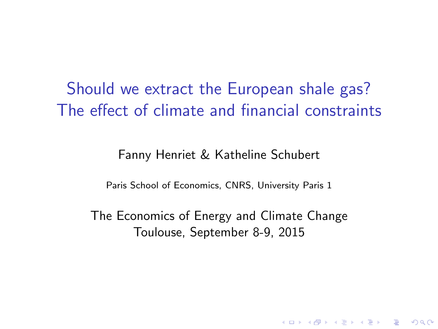Should we extract the European shale gas? The effect of climate and financial constraints

Fanny Henriet & Katheline Schubert

Paris School of Economics, CNRS, University Paris 1

The Economics of Energy and Climate Change Toulouse, September 8-9, 2015

**K ロ ▶ K @ ▶ K 할 X X 할 X → 할 X → 9 Q Q ^**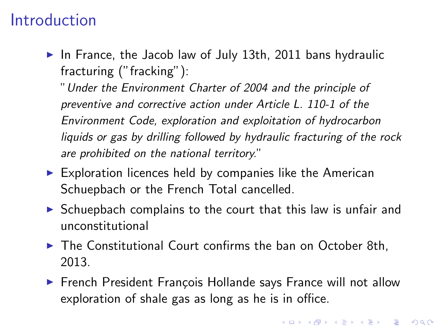### Introduction

In France, the Jacob law of July 13th, 2011 bans hydraulic fracturing ("fracking"):

"Under the Environment Charter of 2004 and the principle of preventive and corrective action under Article L. 110-1 of the Environment Code, exploration and exploitation of hydrocarbon liquids or gas by drilling followed by hydraulic fracturing of the rock are prohibited on the national territory."

- $\triangleright$  Exploration licences held by companies like the American Schuepbach or the French Total cancelled.
- $\triangleright$  Schuepbach complains to the court that this law is unfair and unconstitutional
- $\blacktriangleright$  The Constitutional Court confirms the ban on October 8th, 2013.
- ► French President François Hollande says France will not allow exploration of shale gas as long as he is in office.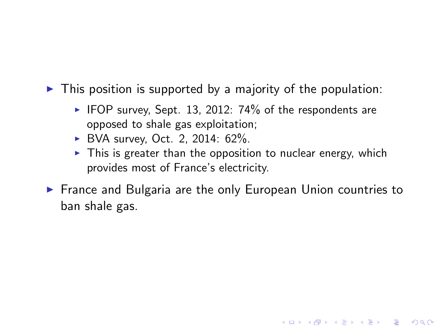- $\triangleright$  This position is supported by a majority of the population:
	- $\blacktriangleright$  IFOP survey, Sept. 13, 2012: 74% of the respondents are opposed to shale gas exploitation;
	- $\triangleright$  BVA survey, Oct. 2, 2014: 62%.
	- $\triangleright$  This is greater than the opposition to nuclear energy, which provides most of France's electricity.
- $\triangleright$  France and Bulgaria are the only European Union countries to ban shale gas.

**KORKA SERKER ORA**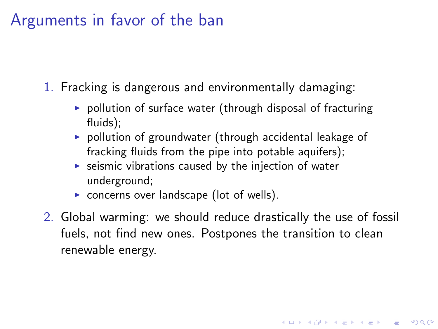### Arguments in favor of the ban

- 1. Fracking is dangerous and environmentally damaging:
	- $\triangleright$  pollution of surface water (through disposal of fracturing fluids);
	- $\triangleright$  pollution of groundwater (through accidental leakage of fracking fluids from the pipe into potable aquifers):
	- $\triangleright$  seismic vibrations caused by the injection of water underground;
	- $\triangleright$  concerns over landscape (lot of wells).
- 2. Global warming: we should reduce drastically the use of fossil fuels, not find new ones. Postpones the transition to clean renewable energy.

4 D > 4 P + 4 B + 4 B + B + 9 Q O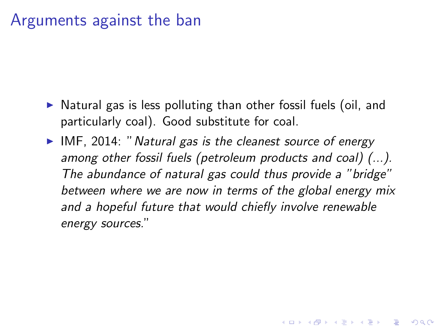### Arguments against the ban

- $\triangleright$  Natural gas is less polluting than other fossil fuels (oil, and particularly coal). Good substitute for coal.
- $\blacktriangleright$  IMF, 2014: " Natural gas is the cleanest source of energy among other fossil fuels (petroleum products and coal) (...). The abundance of natural gas could thus provide a "bridge" between where we are now in terms of the global energy mix and a hopeful future that would chiefly involve renewable energy sources."

**KORKAR KERKER EL VOLO**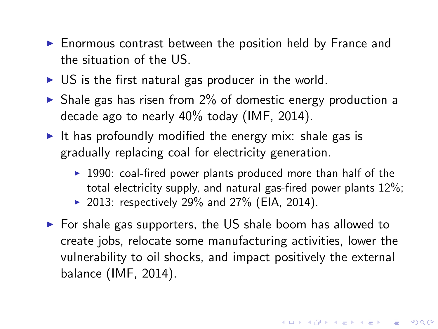- $\blacktriangleright$  Enormous contrast between the position held by France and the situation of the US.
- $\triangleright$  US is the first natural gas producer in the world.
- $\triangleright$  Shale gas has risen from 2% of domestic energy production a decade ago to nearly 40% today (IMF, 2014).
- It has profoundly modified the energy mix: shale gas is gradually replacing coal for electricity generation.
	- $\blacktriangleright$  1990: coal-fired power plants produced more than half of the total electricity supply, and natural gas-fired power plants 12%;

**K ロ ▶ K @ ▶ K 할 X X 할 X → 할 X → 9 Q Q ^** 

- ▶ 2013: respectively 29% and 27% (EIA, 2014).
- $\triangleright$  For shale gas supporters, the US shale boom has allowed to create jobs, relocate some manufacturing activities, lower the vulnerability to oil shocks, and impact positively the external balance (IMF, 2014).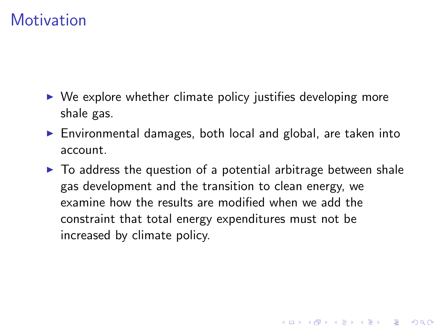### **Motivation**

- $\triangleright$  We explore whether climate policy justifies developing more shale gas.
- $\triangleright$  Environmental damages, both local and global, are taken into account.
- $\triangleright$  To address the question of a potential arbitrage between shale gas development and the transition to clean energy, we examine how the results are modified when we add the constraint that total energy expenditures must not be increased by climate policy.

4 D > 4 P + 4 B + 4 B + B + 9 Q O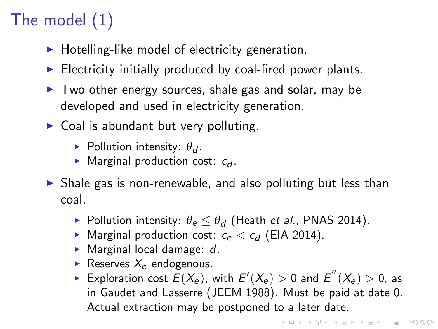# The model (1)

- $\blacktriangleright$  Hotelling-like model of electricity generation.
- $\blacktriangleright$  Electricity initially produced by coal-fired power plants.
- $\triangleright$  Two other energy sources, shale gas and solar, may be developed and used in electricity generation.
- $\triangleright$  Coal is abundant but very polluting.
	- **Pollution intensity:**  $\theta_d$ .
	- $\blacktriangleright$  Marginal production cost:  $c_d$ .
- $\triangleright$  Shale gas is non-renewable, and also polluting but less than coal.
	- **Pollution intensity:**  $\theta_e \leq \theta_d$  (Heath et al., PNAS 2014).
	- $\blacktriangleright$  Marginal production cost:  $c_e < c_d$  (EIA 2014).
	- $\blacktriangleright$  Marginal local damage: d.
	- Reserves  $X_e$  endogenous.
	- Exploration cost  $\widetilde{E}(X_e)$ , with  $E'(X_e) > 0$  and  $E^{''}(X_e) > 0$ , as in Gaudet and Lasserre (JEEM 1988). Must be paid at date 0. Actual extraction may be postponed to a later date.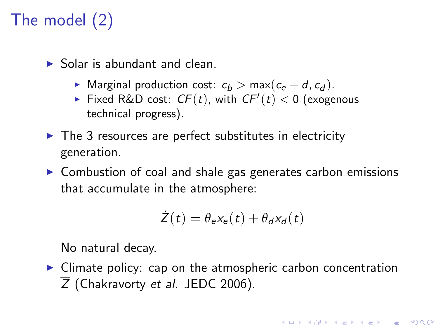## The model (2)

- $\blacktriangleright$  Solar is abundant and clean.
	- $\triangleright$  Marginal production cost:  $c_b > \max(c_e + d, c_d)$ .
	- Fixed R&D cost:  $CF(t)$ , with  $CF'(t) < 0$  (exogenous technical progress).
- $\triangleright$  The 3 resources are perfect substitutes in electricity generation.
- $\triangleright$  Combustion of coal and shale gas generates carbon emissions that accumulate in the atmosphere:

$$
\dot{Z}(t) = \theta_{e}x_{e}(t) + \theta_{d}x_{d}(t)
$$

No natural decay.

 $\triangleright$  Climate policy: cap on the atmospheric carbon concentration  $\overline{Z}$  (Chakravorty et al. JEDC 2006).

**K ロ ▶ K @ ▶ K 할 X X 할 X → 할 X → 9 Q Q ^**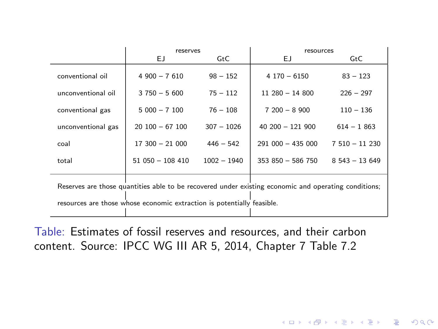|                                                                                                      | reserves         |                   | resources         |                  |  |
|------------------------------------------------------------------------------------------------------|------------------|-------------------|-------------------|------------------|--|
|                                                                                                      | ЕJ               | G <sub>td</sub> C | EJ.               | G <sub>t</sub> C |  |
| conventional oil                                                                                     | $4900 - 7610$    | $98 - 152$        | $4170 - 6150$     | $83 - 123$       |  |
| unconventional oil                                                                                   | $3750 - 5600$    | $75 - 112$        | $11280 - 14800$   | $226 - 297$      |  |
| conventional gas                                                                                     | $5000 - 7100$    | $76 - 108$        | $7200 - 8900$     | $110 - 136$      |  |
| unconventional gas                                                                                   | $20100 - 67100$  | $307 - 1026$      | $40200 - 121900$  | $614 - 1863$     |  |
| coal                                                                                                 | $17300 - 21000$  | $446 - 542$       | $291000 - 435000$ | $7510 - 11230$   |  |
| total                                                                                                | $51050 - 108410$ | $1002 - 1940$     | 353 850 - 586 750 | $8543 - 13649$   |  |
| Reserves are those quantities able to be recovered under existing economic and operating conditions; |                  |                   |                   |                  |  |
| resources are those whose economic extraction is potentially feasible.                               |                  |                   |                   |                  |  |

Table: Estimates of fossil reserves and resources, and their carbon content. Source: IPCC WG III AR 5, 2014, Chapter 7 Table 7.2

イロト イ母 トイミト イミト ニヨー りんぴ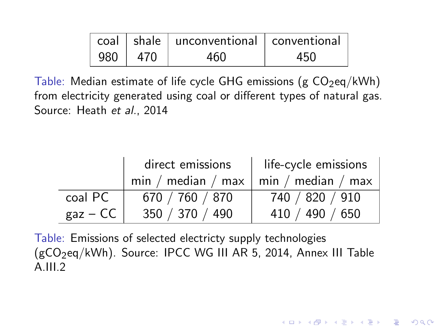|           | coal   shale   unconventional   conventional |     |
|-----------|----------------------------------------------|-----|
| 980   470 | 460                                          | 450 |

Table: Median estimate of life cycle GHG emissions (g  $CO<sub>2</sub>$ eq/kWh) from electricity generated using coal or different types of natural gas. Source: Heath et al., 2014

|            | direct emissions                          | life-cycle emissions |  |  |
|------------|-------------------------------------------|----------------------|--|--|
|            | $min / median / max   min / median / max$ |                      |  |  |
| coal PC    | 670 / 760 / 870                           | 740 / 820 / 910      |  |  |
| $gaz - CC$ | 350 / 370 / 490                           | 410 / 490 / 650      |  |  |

**KORKA SERKER ORA** 

Table: Emissions of selected electricty supply technologies  $(gCO<sub>2</sub>eq/kWh)$ . Source: IPCC WG III AR 5, 2014, Annex III Table  $A.III.2$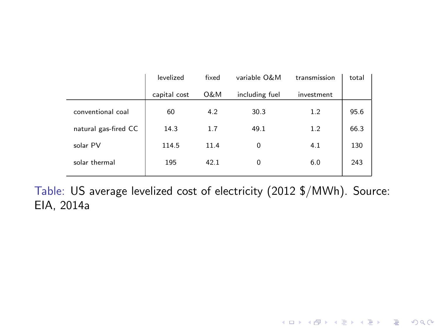|                      | levelized    | fixed          | variable O&M   | transmission | total |
|----------------------|--------------|----------------|----------------|--------------|-------|
|                      | capital cost | <b>O&amp;M</b> | including fuel | investment   |       |
| conventional coal    | 60           | 4.2            | 30.3           | 1.2          | 95.6  |
| natural gas-fired CC | 14.3         | 1.7            | 49.1           | 1.2          | 66.3  |
| solar PV             | 114.5        | 11.4           | 0              | 4.1          | 130   |
| solar thermal        | 195          | 42.1           | 0              | 6.0          | 243   |

Table: US average levelized cost of electricity (2012 \$/MWh). Source: EIA, 2014a

K ロ X K 메 X K B X X B X X D X O Q Q O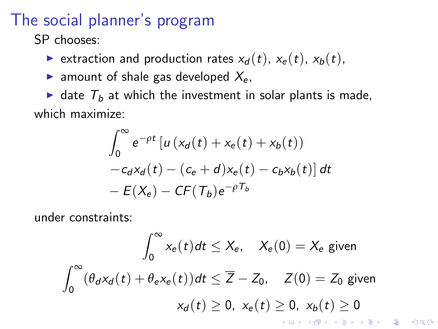### The social planner's program

SP chooses:

- ightharpoontanal extraction rates  $x_d(t)$ ,  $x_e(t)$ ,  $x_b(t)$ ,
- ightharpoon amount of shale gas developed  $X_{\rm e}$ .

 $\blacktriangleright$  date  $T_b$  at which the investment in solar plants is made, which maximize:

$$
\int_0^{\infty} e^{-\rho t} \left[ u \left( x_d(t) + x_e(t) + x_b(t) \right) - c_d x_d(t) - \left( c_e + d \right) x_e(t) - c_b x_b(t) \right] dt
$$
  
-  $E(X_e) - C F(T_b) e^{-\rho T_b}$ 

under constraints:

$$
\int_0^\infty x_e(t)dt \le X_e, \quad X_e(0) = X_e \text{ given}
$$
\n
$$
\int_0^\infty (\theta_d x_d(t) + \theta_e x_e(t))dt \le \overline{Z} - Z_0, \quad Z(0) = Z_0 \text{ given}
$$
\n
$$
x_d(t) \ge 0, \ x_e(t) \ge 0, \ x_b(t) \ge 0
$$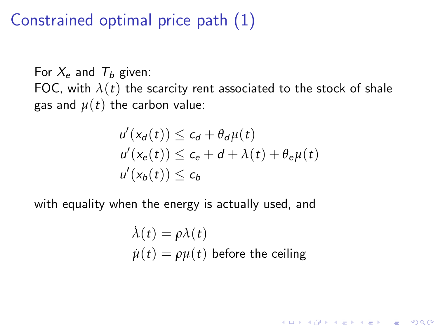### Constrained optimal price path (1)

For  $X_e$  and  $T_h$  given: FOC, with  $\lambda(t)$  the scarcity rent associated to the stock of shale gas and  $\mu(t)$  the carbon value:

$$
u'(x_d(t)) \leq c_d + \theta_d \mu(t)
$$
  
\n
$$
u'(x_e(t)) \leq c_e + d + \lambda(t) + \theta_e \mu(t)
$$
  
\n
$$
u'(x_b(t)) \leq c_b
$$

with equality when the energy is actually used, and

$$
\dot{\lambda}(t) = \rho \lambda(t)
$$
  

$$
\dot{\mu}(t) = \rho \mu(t)
$$
 before the ceiling

K ロ ▶ K @ ▶ K 할 > K 할 > 1 할 > 1 이익어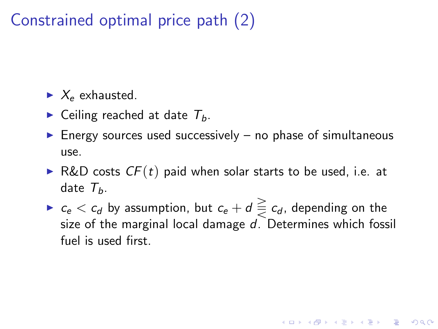### Constrained optimal price path (2)

 $\blacktriangleright$   $X_e$  exhausted.

- $\blacktriangleright$  Ceiling reached at date  $T_b$ .
- $\blacktriangleright$  Energy sources used successively no phase of simultaneous use.
- R&D costs  $CF(t)$  paid when solar starts to be used, i.e. at date  $T_{b}$ .
- $\blacktriangleright$   $c_e < c_d$  by assumption, but  $c_e + d \geq c_d$ , depending on the size of the marginal local damage d. Determines which fossil fuel is used first.

**KORKAR KERKER EL VOLO**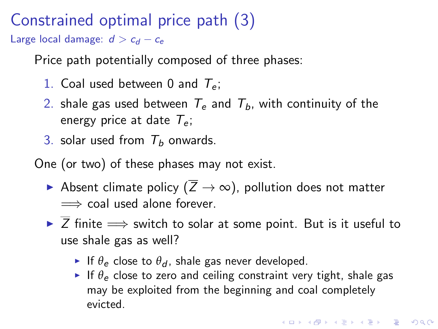### Constrained optimal price path (3)

Large local damage:  $d > c_d - c_e$ 

Price path potentially composed of three phases:

- 1. Coal used between 0 and  $T_e$ ;
- 2. shale gas used between  $T_e$  and  $T_b$ , with continuity of the energy price at date  $T_e$ ;
- 3. solar used from  $T_b$  onwards.
- One (or two) of these phases may not exist.
	- Absent climate policy ( $\overline{Z} \to \infty$ ), pollution does not matter  $\implies$  coal used alone forever.
	- $\triangleright$   $\overline{Z}$  finite  $\Longrightarrow$  switch to solar at some point. But is it useful to use shale gas as well?
		- If  $\theta_e$  close to  $\theta_d$ , shale gas never developed.
		- If  $\theta_e$  close to zero and ceiling constraint very tight, shale gas may be exploited from the beginning and coal completely evicted.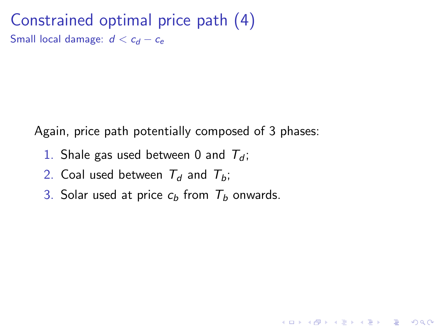Constrained optimal price path (4) Small local damage:  $d < c_d - c_e$ 

Again, price path potentially composed of 3 phases:

**KORKA SERKER ORA** 

- 1. Shale gas used between 0 and  $T<sub>d</sub>$ ;
- 2. Coal used between  $T<sub>d</sub>$  and  $T<sub>b</sub>$ ;
- 3. Solar used at price  $c<sub>b</sub>$  from  $T<sub>b</sub>$  onwards.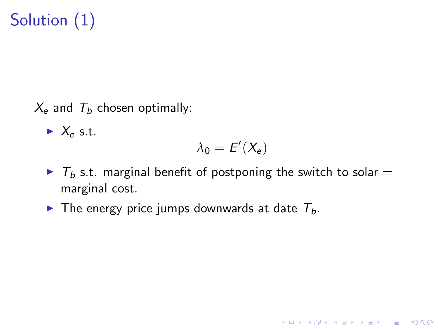# Solution (1)

 $X_e$  and  $T_h$  chosen optimally:

 $\blacktriangleright$  X<sub>e</sub> s.t.

$$
\lambda_0 = E'(X_e)
$$

**KORKA SERKER ORA** 

- $\triangleright$  T<sub>b</sub> s.t. marginal benefit of postponing the switch to solar = marginal cost.
- $\triangleright$  The energy price jumps downwards at date  $T_b$ .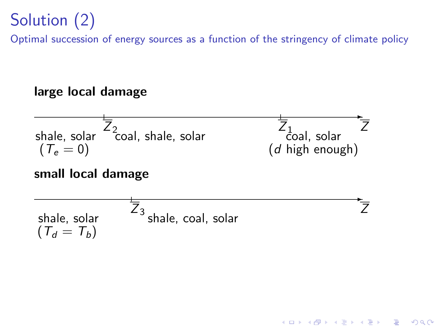## Solution (2)

Optimal succession of energy sources as a function of the stringency of climate policy

#### large local damage

| Shale, solar  | $\overline{Z}_2$   | $\overline{Z}_1$ | $\overline{Z}$ |
|---------------|--------------------|------------------|----------------|
| ( $T_e = 0$ ) | ( $d$ high enough) |                  |                |

#### small local damage

| shape, solar  | $\overline{Z}_3$ | shape, coal, solar | $\overline{Z}$ |
|---------------|------------------|--------------------|----------------|
| $(T_d = T_b)$ | $(T_d = T_d)$    |                    |                |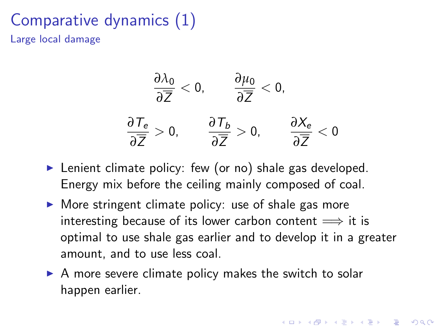### Comparative dynamics (1) Large local damage



- $\blacktriangleright$  Lenient climate policy: few (or no) shale gas developed. Energy mix before the ceiling mainly composed of coal.
- $\triangleright$  More stringent climate policy: use of shale gas more interesting because of its lower carbon content  $\implies$  it is optimal to use shale gas earlier and to develop it in a greater amount, and to use less coal.
- $\triangleright$  A more severe climate policy makes the switch to solar happen earlier.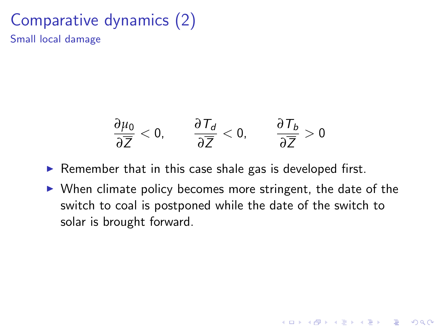#### Comparative dynamics (2) Small local damage

$$
\frac{\partial \mu_0}{\partial \overline{Z}} < 0, \qquad \frac{\partial \mathcal{T}_d}{\partial \overline{Z}} < 0, \qquad \frac{\partial \mathcal{T}_b}{\partial \overline{Z}} > 0
$$

 $\triangleright$  Remember that in this case shale gas is developed first.

 $\triangleright$  When climate policy becomes more stringent, the date of the switch to coal is postponed while the date of the switch to solar is brought forward.

**KORKA SERKER ORA**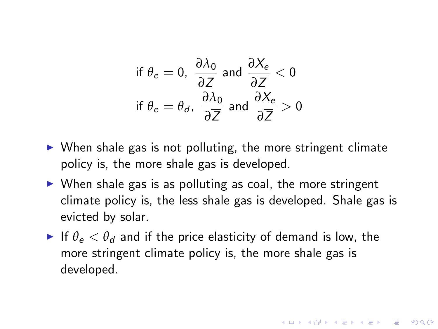$$
\text{if } \theta_e = 0, \ \frac{\partial \lambda_0}{\partial \overline{Z}} \text{ and } \frac{\partial X_e}{\partial \overline{Z}} < 0
$$
\n
$$
\text{if } \theta_e = \theta_d, \ \frac{\partial \lambda_0}{\partial \overline{Z}} \text{ and } \frac{\partial X_e}{\partial \overline{Z}} > 0
$$

- $\triangleright$  When shale gas is not polluting, the more stringent climate policy is, the more shale gas is developed.
- $\triangleright$  When shale gas is as polluting as coal, the more stringent climate policy is, the less shale gas is developed. Shale gas is evicted by solar.
- If  $\theta_e < \theta_d$  and if the price elasticity of demand is low, the more stringent climate policy is, the more shale gas is developed.

**KORKAR KERKER EL VOLO**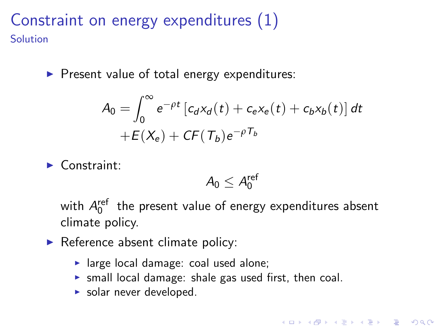### Constraint on energy expenditures (1) Solution

 $\blacktriangleright$  Present value of total energy expenditures:

$$
A_0 = \int_0^\infty e^{-\rho t} \left[ c_d x_d(t) + c_e x_e(t) + c_b x_b(t) \right] dt
$$
  
+  $E(X_e) + C F(T_b) e^{-\rho T_b}$ 

 $\blacktriangleright$  Constraint:

$$
A_0 \leq A_0^{\text{ref}}
$$

4 D > 4 P + 4 B + 4 B + B + 9 Q O

with  $A_0^{\text{ref}}$  the present value of energy expenditures absent climate policy.

- $\blacktriangleright$  Reference absent climate policy:
	- $\blacktriangleright$  large local damage: coal used alone;
	- $\triangleright$  small local damage: shale gas used first, then coal.
	- $\triangleright$  solar never developed.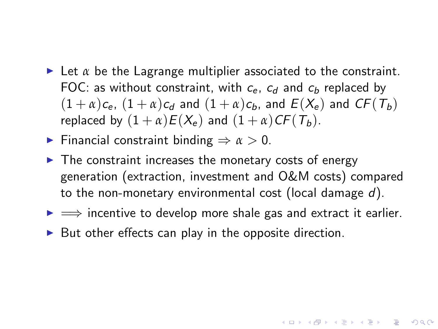- $\triangleright$  Let  $\alpha$  be the Lagrange multiplier associated to the constraint. FOC: as without constraint, with  $c_{e}$ ,  $c_{d}$  and  $c_{b}$  replaced by  $(1 + \alpha)c_e$ ,  $(1 + \alpha)c_d$  and  $(1 + \alpha)c_b$ , and  $E(X_e)$  and  $CF(T_b)$ replaced by  $(1 + \alpha)E(X_e)$  and  $(1 + \alpha)CF(T_b)$ .
- **Financial constraint binding**  $\Rightarrow \alpha > 0$ **.**
- $\triangleright$  The constraint increases the monetary costs of energy generation (extraction, investment and O&M costs) compared to the non-monetary environmental cost (local damage  $d$ ).
- $\rightarrow$   $\rightarrow$  incentive to develop more shale gas and extract it earlier.

**KORKAR KERKER EL VOLO** 

 $\triangleright$  But other effects can play in the opposite direction.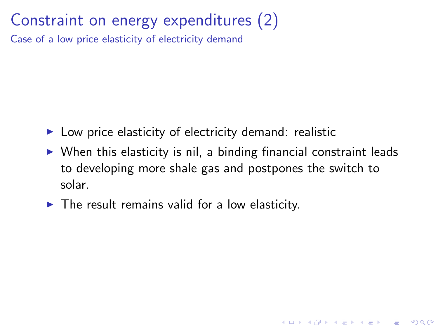### Constraint on energy expenditures (2)

Case of a low price elasticity of electricity demand

- $\blacktriangleright$  Low price elasticity of electricity demand: realistic
- $\triangleright$  When this elasticity is nil, a binding financial constraint leads to developing more shale gas and postpones the switch to solar.

**KORKA SERKER ORA** 

<span id="page-24-0"></span> $\blacktriangleright$  The result remains valid for a low elasticity.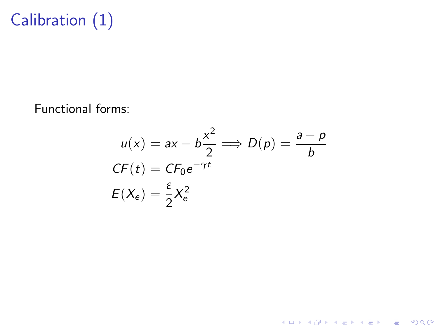## Calibration (1)

<span id="page-25-0"></span>Functional forms:

$$
u(x) = ax - b\frac{x^2}{2} \Longrightarrow D(p) = \frac{a - p}{b}
$$
  
CF(t) = CF<sub>0</sub>e<sup>-γt</sup>  

$$
E(X_e) = \frac{\varepsilon}{2}X_e^2
$$

K ロ X K 메 X K B X X B X X D X O Q Q O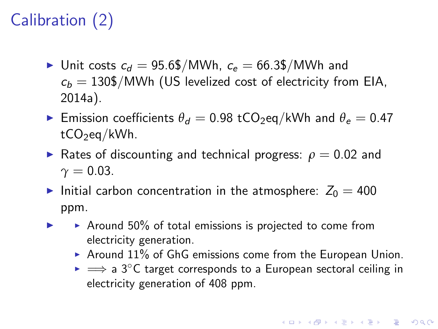## Calibration (2)

- In Unit costs  $c_d = 95.6\frac{1}{3}$  MWh,  $c_e = 66.3\frac{1}{3}$  MWh and  $c_b = 130\$/MWh$  (US levelized cost of electricity from EIA, 2014a).
- **Emission coefficients**  $\theta_d = 0.98$  **tCO<sub>2</sub>eq/kWh and**  $\theta_e = 0.47$  $tCO_2$ eq/kWh.
- **F** Rates of discounting and technical progress:  $\rho = 0.02$  and  $\gamma = 0.03$ .
- Initial carbon concentration in the atmosphere:  $Z_0 = 400$ ppm.
- $\triangleright$   $\rightarrow$  Around 50% of total emissions is projected to come from electricity generation.
	- Around  $11\%$  of GhG emissions come from the European Union.
	- $\triangleright \implies$  a 3°C target corresponds to a European sectoral ceiling in electricity generation of 408 ppm.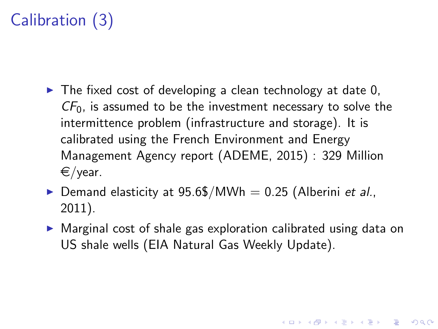## Calibration (3)

- $\triangleright$  The fixed cost of developing a clean technology at date 0,  $CF<sub>0</sub>$ , is assumed to be the investment necessary to solve the intermittence problem (infrastructure and storage). It is calibrated using the French Environment and Energy Management Agency report (ADEME, 2015) : 329 Million  $\epsilon$ /year.
- $\triangleright$  Demand elasticity at 95.6\$/MWh = 0.25 (Alberini et al., 2011).
- $\triangleright$  Marginal cost of shale gas exploration calibrated using data on US shale wells (EIA Natural Gas Weekly Update).

4 D > 4 P + 4 B + 4 B + B + 9 Q O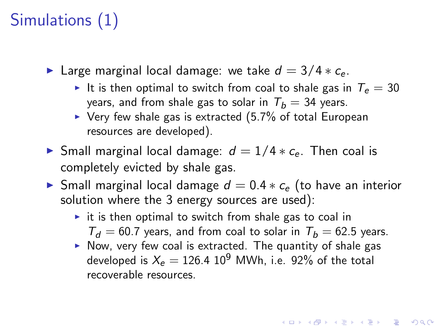## Simulations (1)

- ► Large marginal local damage: we take  $d = 3/4 * c_e$ .
	- It is then optimal to switch from coal to shale gas in  $T_e = 30$ years, and from shale gas to solar in  $T_b = 34$  years.
	- $\triangleright$  Very few shale gas is extracted (5.7% of total European resources are developed).
- ► Small marginal local damage:  $d = 1/4 * c_e$ . Then coal is completely evicted by shale gas.
- $\triangleright$  Small marginal local damage  $d = 0.4 * c_{e}$  (to have an interior solution where the 3 energy sources are used):
	- $\triangleright$  it is then optimal to switch from shale gas to coal in  $T_d = 60.7$  years, and from coal to solar in  $T_b = 62.5$  years.
	- $\triangleright$  Now, very few coal is extracted. The quantity of shale gas developed is  $X_e = 126.4 \, 10^9$  MWh, i.e. 92% of the total recoverable resources.

**K ロ ▶ K @ ▶ K 할 X X 할 X 및 할 X X Q Q O**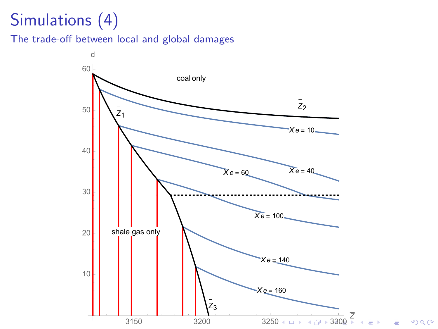## Simulations (4)

The trade-off between local and global damages

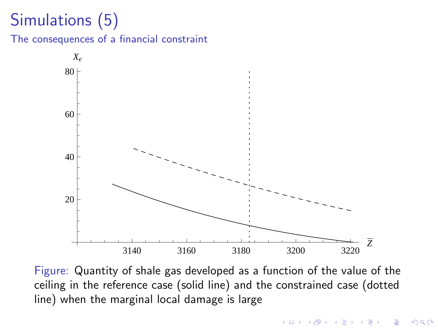## Simulations (5)

The consequences of a financial constraint



<span id="page-30-0"></span>Figure: Quantity of shale gas developed as a function of the value of the ceiling in the reference case (solid line) and the constrained case (dotted line) when the marginal local damage is large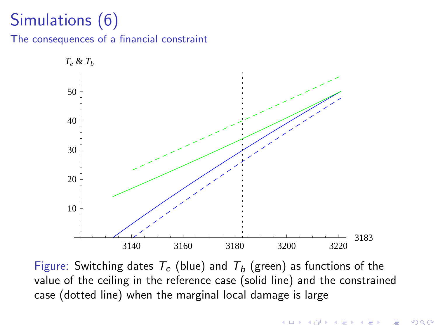## Simulations (6)

The consequences of a financial constraint



Figure: Switching dates  $T_e$  (blue) and  $T_b$  (green) as functions of the value of the ceiling in the reference case (solid line) and the constrained case (dotted line) when the marginal local damage is large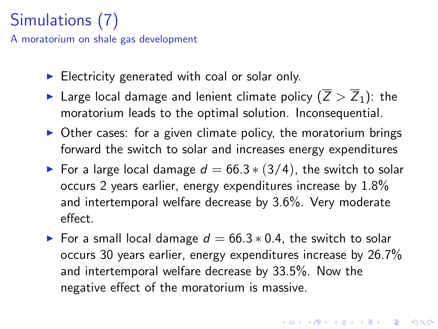## Simulations (7)

A moratorium on shale gas development

- $\blacktriangleright$  Electricity generated with coal or solar only.
- In Large local damage and lenient climate policy  $(\overline{Z} > \overline{Z}_1)$ : the moratorium leads to the optimal solution. Inconsequential.
- $\triangleright$  Other cases: for a given climate policy, the moratorium brings forward the switch to solar and increases energy expenditures
- For a large local damage  $d = 66.3 * (3/4)$ , the switch to solar occurs 2 years earlier, energy expenditures increase by 1.8% and intertemporal welfare decrease by 3.6%. Very moderate effect.
- <span id="page-32-0"></span>► For a small local damage  $d = 66.3 * 0.4$ , the switch to solar occurs 30 years earlier, energy expenditures increase by 26.7% and intertemporal welfare decrease by 33.5%. Now the negative effect of the moratorium is massive.